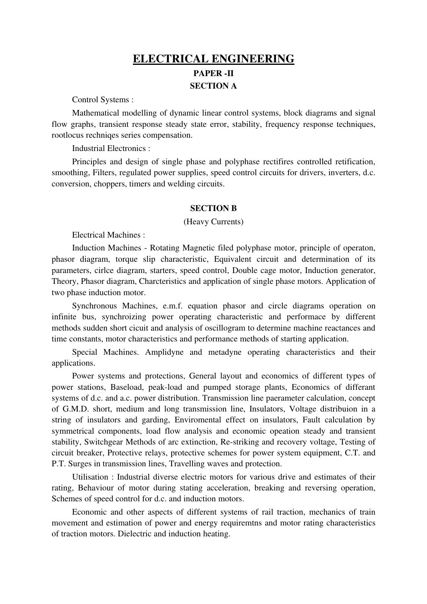# ELECTRICAL ENGINEERING PAPER -II SECTION A

Control Systems :

Mathematical modelling of dynamic linear control systems, block diagrams and signal flow graphs, transient response steady state error, stability, frequency response techniques, rootlocus rechniqes series compensation.

Industrial Electronics :

Principles and design of single phase and polyphase rectifires controlled retification, smoothing, Filters, regulated power supplies, speed control circuits for drivers, inverters, d.c. conversion, choppers, timers and welding circuits.

### SECTION B

(Heavy Currents)

Electrical Machines :

Induction Machines - Rotating Magnetic filed polyphase motor, principle of operaton, phasor diagram, torque slip characteristic, Equivalent circuit and determination of its parameters, cirlce diagram, starters, speed control, Double cage motor, Induction generator, Theory, Phasor diagram, Charcteristics and application of single phase motors. Application of two phase induction motor.

Synchronous Machines, e.m.f. equation phasor and circle diagrams operation on infinite bus, synchroizing power operating characteristic and performace by different methods sudden short cicuit and analysis of oscillogram to determine machine reactances and time constants, motor characteristics and performance methods of starting application.

Special Machines. Amplidyne and metadyne operating characteristics and their applications.

Power systems and protections, General layout and economics of different types of power stations, Baseload, peak-load and pumped storage plants, Economics of differant systems of d.c. and a.c. power distribution. Transmission line paerameter calculation, concept of G.M.D. short, medium and long transmission line, Insulators, Voltage distribuion in a string of insulators and garding, Enviromental effect on insulators, Fault calculation by symmetrical components, load flow analysis and economic opeation steady and transient stability, Switchgear Methods of arc extinction, Re-striking and recovery voltage, Testing of circuit breaker, Protective relays, protective schemes for power system equipment, C.T. and P.T. Surges in transmission lines, Travelling waves and protection.

Utilisation : Industrial diverse electric motors for various drive and estimates of their rating, Behaviour of motor during stating acceleration, breaking and reversing operation, Schemes of speed control for d.c. and induction motors.

Economic and other aspects of different systems of rail traction, mechanics of train movement and estimation of power and energy requiremtns and motor rating characteristics of traction motors. Dielectric and induction heating.